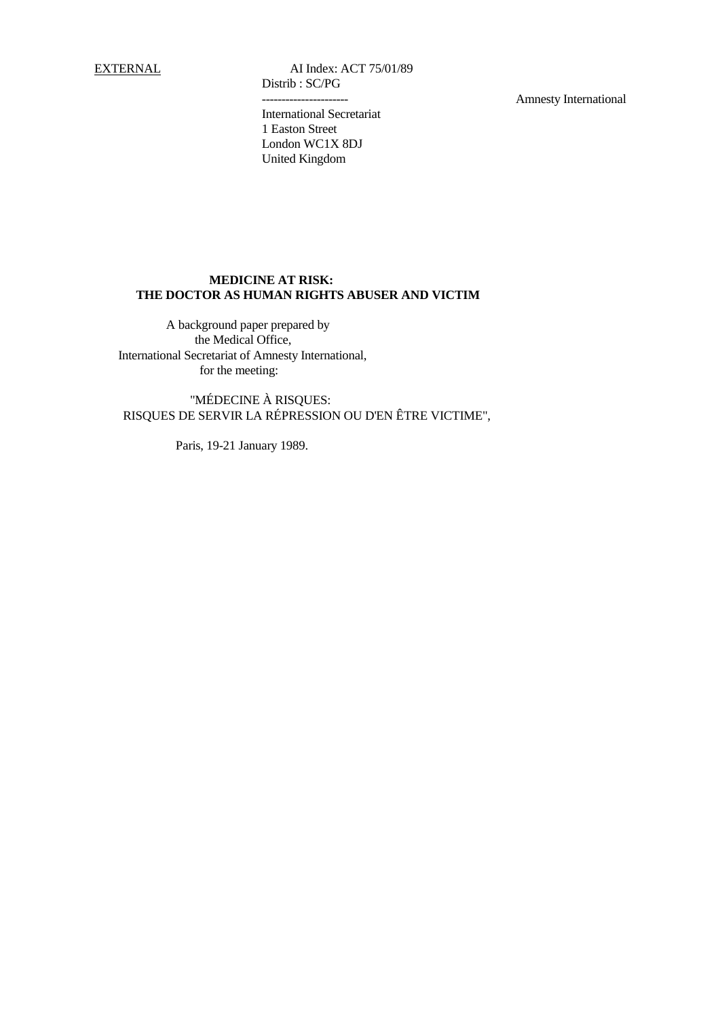EXTERNAL AI Index: ACT 75/01/89 Distrib : SC/PG

Amnesty International

International Secretariat 1 Easton Street London WC1X 8DJ United Kingdom

# **MEDICINE AT RISK: THE DOCTOR AS HUMAN RIGHTS ABUSER AND VICTIM**

 A background paper prepared by the Medical Office, International Secretariat of Amnesty International, for the meeting:

 "MÉDECINE À RISQUES: RISQUES DE SERVIR LA RÉPRESSION OU D'EN ÊTRE VICTIME",

Paris, 19-21 January 1989.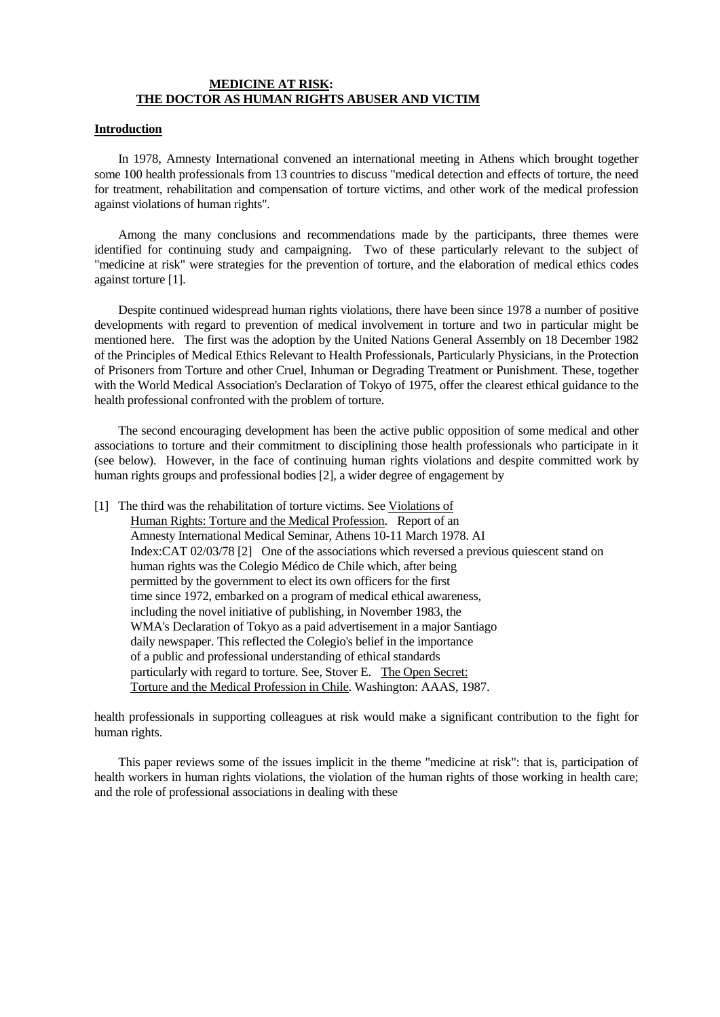#### **MEDICINE AT RISK: THE DOCTOR AS HUMAN RIGHTS ABUSER AND VICTIM**

#### **Introduction**

 In 1978, Amnesty International convened an international meeting in Athens which brought together some 100 health professionals from 13 countries to discuss "medical detection and effects of torture, the need for treatment, rehabilitation and compensation of torture victims, and other work of the medical profession against violations of human rights".

 Among the many conclusions and recommendations made by the participants, three themes were identified for continuing study and campaigning. Two of these particularly relevant to the subject of "medicine at risk" were strategies for the prevention of torture, and the elaboration of medical ethics codes against torture [1].

 Despite continued widespread human rights violations, there have been since 1978 a number of positive developments with regard to prevention of medical involvement in torture and two in particular might be mentioned here. The first was the adoption by the United Nations General Assembly on 18 December 1982 of the Principles of Medical Ethics Relevant to Health Professionals, Particularly Physicians, in the Protection of Prisoners from Torture and other Cruel, Inhuman or Degrading Treatment or Punishment. These, together with the World Medical Association's Declaration of Tokyo of 1975, offer the clearest ethical guidance to the health professional confronted with the problem of torture.

 The second encouraging development has been the active public opposition of some medical and other associations to torture and their commitment to disciplining those health professionals who participate in it (see below). However, in the face of continuing human rights violations and despite committed work by human rights groups and professional bodies [2], a wider degree of engagement by

[1] The third was the rehabilitation of torture victims. See Violations of Human Rights: Torture and the Medical Profession. Report of an Amnesty International Medical Seminar, Athens 10-11 March 1978. AI Index:CAT 02/03/78 [2] One of the associations which reversed a previous quiescent stand on human rights was the Colegio Médico de Chile which, after being permitted by the government to elect its own officers for the first time since 1972, embarked on a program of medical ethical awareness, including the novel initiative of publishing, in November 1983, the WMA's Declaration of Tokyo as a paid advertisement in a major Santiago daily newspaper. This reflected the Colegio's belief in the importance of a public and professional understanding of ethical standards particularly with regard to torture. See, Stover E. The Open Secret: Torture and the Medical Profession in Chile. Washington: AAAS, 1987.

health professionals in supporting colleagues at risk would make a significant contribution to the fight for human rights.

 This paper reviews some of the issues implicit in the theme "medicine at risk": that is, participation of health workers in human rights violations, the violation of the human rights of those working in health care; and the role of professional associations in dealing with these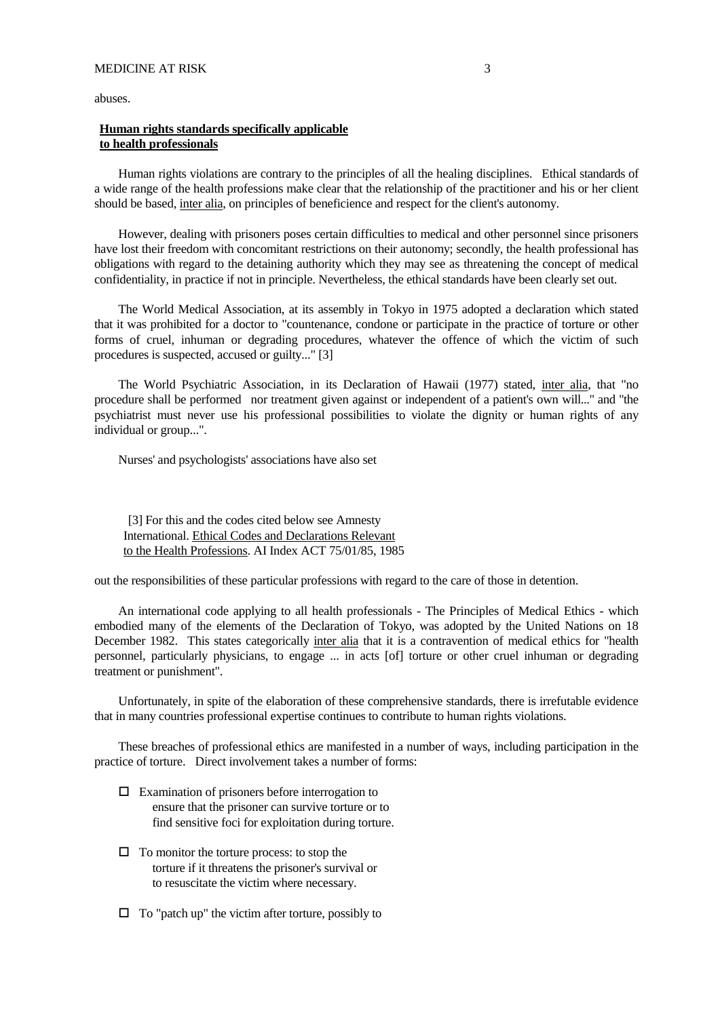abuses.

### **Human rights standards specifically applicable to health professionals**

 Human rights violations are contrary to the principles of all the healing disciplines. Ethical standards of a wide range of the health professions make clear that the relationship of the practitioner and his or her client should be based, inter alia, on principles of beneficience and respect for the client's autonomy.

 However, dealing with prisoners poses certain difficulties to medical and other personnel since prisoners have lost their freedom with concomitant restrictions on their autonomy; secondly, the health professional has obligations with regard to the detaining authority which they may see as threatening the concept of medical confidentiality, in practice if not in principle. Nevertheless, the ethical standards have been clearly set out.

 The World Medical Association, at its assembly in Tokyo in 1975 adopted a declaration which stated that it was prohibited for a doctor to "countenance, condone or participate in the practice of torture or other forms of cruel, inhuman or degrading procedures, whatever the offence of which the victim of such procedures is suspected, accused or guilty..." [3]

 The World Psychiatric Association, in its Declaration of Hawaii (1977) stated, inter alia, that "no procedure shall be performed nor treatment given against or independent of a patient's own will..." and "the psychiatrist must never use his professional possibilities to violate the dignity or human rights of any individual or group...".

Nurses' and psychologists' associations have also set

[3] For this and the codes cited below see Amnesty International. Ethical Codes and Declarations Relevant to the Health Professions. AI Index ACT 75/01/85, 1985

out the responsibilities of these particular professions with regard to the care of those in detention.

 An international code applying to all health professionals - The Principles of Medical Ethics - which embodied many of the elements of the Declaration of Tokyo, was adopted by the United Nations on 18 December 1982. This states categorically inter alia that it is a contravention of medical ethics for "health personnel, particularly physicians, to engage ... in acts [of] torture or other cruel inhuman or degrading treatment or punishment".

 Unfortunately, in spite of the elaboration of these comprehensive standards, there is irrefutable evidence that in many countries professional expertise continues to contribute to human rights violations.

 These breaches of professional ethics are manifested in a number of ways, including participation in the practice of torture. Direct involvement takes a number of forms:

- $\Box$  Examination of prisoners before interrogation to ensure that the prisoner can survive torture or to find sensitive foci for exploitation during torture.
- $\Box$  To monitor the torture process: to stop the torture if it threatens the prisoner's survival or to resuscitate the victim where necessary.
- $\Box$  To "patch up" the victim after torture, possibly to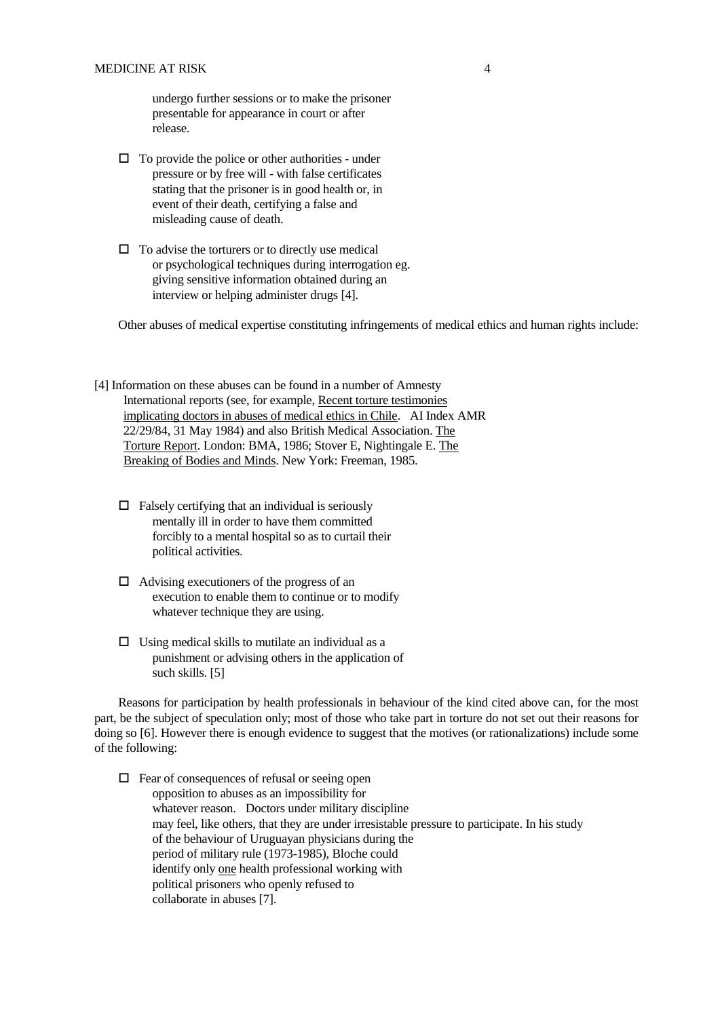undergo further sessions or to make the prisoner presentable for appearance in court or after release.

- $\Box$  To provide the police or other authorities under pressure or by free will - with false certificates stating that the prisoner is in good health or, in event of their death, certifying a false and misleading cause of death.
- $\Box$  To advise the torturers or to directly use medical or psychological techniques during interrogation eg. giving sensitive information obtained during an interview or helping administer drugs [4].

Other abuses of medical expertise constituting infringements of medical ethics and human rights include:

[4] Information on these abuses can be found in a number of Amnesty International reports (see, for example, Recent torture testimonies implicating doctors in abuses of medical ethics in Chile. AI Index AMR 22/29/84, 31 May 1984) and also British Medical Association. The Torture Report. London: BMA, 1986; Stover E, Nightingale E. The Breaking of Bodies and Minds. New York: Freeman, 1985.

- $\Box$  Falsely certifying that an individual is seriously mentally ill in order to have them committed forcibly to a mental hospital so as to curtail their political activities.
- $\Box$  Advising executioners of the progress of an execution to enable them to continue or to modify whatever technique they are using.
- $\Box$  Using medical skills to mutilate an individual as a punishment or advising others in the application of such skills. [5]

 Reasons for participation by health professionals in behaviour of the kind cited above can, for the most part, be the subject of speculation only; most of those who take part in torture do not set out their reasons for doing so [6]. However there is enough evidence to suggest that the motives (or rationalizations) include some of the following:

 $\Box$  Fear of consequences of refusal or seeing open opposition to abuses as an impossibility for whatever reason. Doctors under military discipline may feel, like others, that they are under irresistable pressure to participate. In his study of the behaviour of Uruguayan physicians during the period of military rule (1973-1985), Bloche could identify only one health professional working with political prisoners who openly refused to collaborate in abuses [7].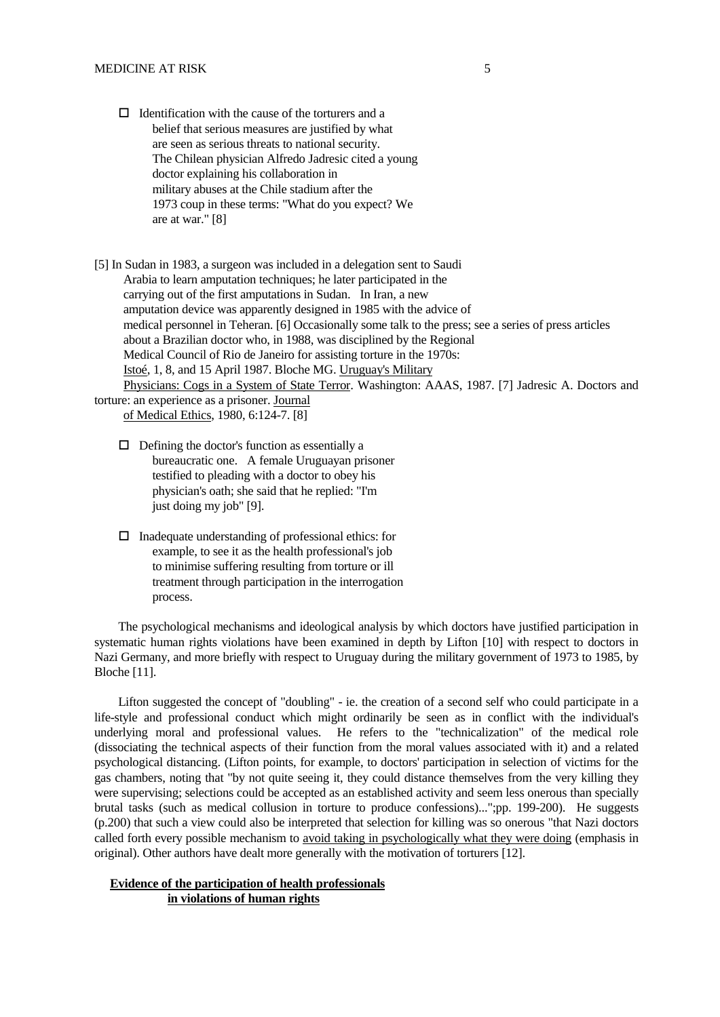$\Box$  Identification with the cause of the torturers and a belief that serious measures are justified by what are seen as serious threats to national security. The Chilean physician Alfredo Jadresic cited a young doctor explaining his collaboration in military abuses at the Chile stadium after the 1973 coup in these terms: "What do you expect? We are at war." [8]

[5] In Sudan in 1983, a surgeon was included in a delegation sent to Saudi Arabia to learn amputation techniques; he later participated in the carrying out of the first amputations in Sudan. In Iran, a new amputation device was apparently designed in 1985 with the advice of medical personnel in Teheran. [6] Occasionally some talk to the press; see a series of press articles about a Brazilian doctor who, in 1988, was disciplined by the Regional Medical Council of Rio de Janeiro for assisting torture in the 1970s: Istoé, 1, 8, and 15 April 1987. Bloche MG. Uruguay's Military Physicians: Cogs in a System of State Terror. Washington: AAAS, 1987. [7] Jadresic A. Doctors and

# torture: an experience as a prisoner. Journal of Medical Ethics, 1980, 6:124-7. [8]

- $\Box$  Defining the doctor's function as essentially a bureaucratic one. A female Uruguayan prisoner testified to pleading with a doctor to obey his physician's oath; she said that he replied: "I'm just doing my job" [9].
- $\Box$  Inadequate understanding of professional ethics: for example, to see it as the health professional's job to minimise suffering resulting from torture or ill treatment through participation in the interrogation process.

 The psychological mechanisms and ideological analysis by which doctors have justified participation in systematic human rights violations have been examined in depth by Lifton [10] with respect to doctors in Nazi Germany, and more briefly with respect to Uruguay during the military government of 1973 to 1985, by Bloche [11].

 Lifton suggested the concept of "doubling" - ie. the creation of a second self who could participate in a life-style and professional conduct which might ordinarily be seen as in conflict with the individual's underlying moral and professional values. He refers to the "technicalization" of the medical role (dissociating the technical aspects of their function from the moral values associated with it) and a related psychological distancing. (Lifton points, for example, to doctors' participation in selection of victims for the gas chambers, noting that "by not quite seeing it, they could distance themselves from the very killing they were supervising; selections could be accepted as an established activity and seem less onerous than specially brutal tasks (such as medical collusion in torture to produce confessions)...";pp. 199-200). He suggests (p.200) that such a view could also be interpreted that selection for killing was so onerous "that Nazi doctors called forth every possible mechanism to avoid taking in psychologically what they were doing (emphasis in original). Other authors have dealt more generally with the motivation of torturers [12].

# **Evidence of the participation of health professionals in violations of human rights**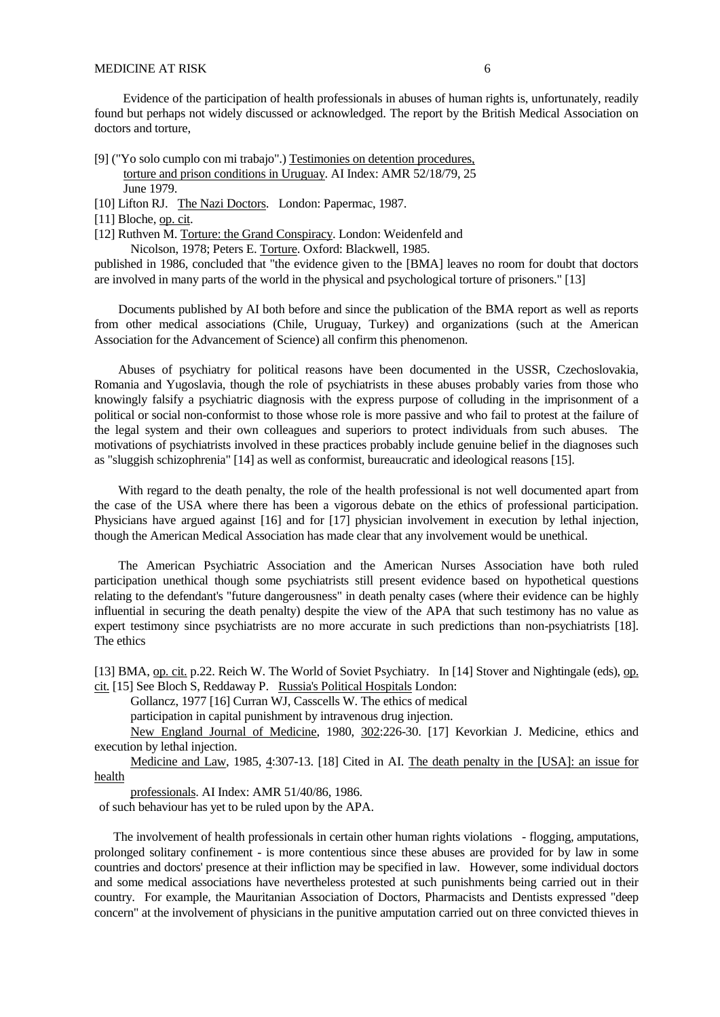#### MEDICINE AT RISK 6

 Evidence of the participation of health professionals in abuses of human rights is, unfortunately, readily found but perhaps not widely discussed or acknowledged. The report by the British Medical Association on doctors and torture,

- [9] ("Yo solo cumplo con mi trabajo".) Testimonies on detention procedures, torture and prison conditions in Uruguay. AI Index: AMR 52/18/79, 25 June 1979.
- [10] Lifton RJ. The Nazi Doctors. London: Papermac, 1987.
- [11] Bloche, op. cit.
- [12] Ruthven M. Torture: the Grand Conspiracy. London: Weidenfeld and

Nicolson, 1978; Peters E. Torture. Oxford: Blackwell, 1985.

published in 1986, concluded that "the evidence given to the [BMA] leaves no room for doubt that doctors are involved in many parts of the world in the physical and psychological torture of prisoners." [13]

 Documents published by AI both before and since the publication of the BMA report as well as reports from other medical associations (Chile, Uruguay, Turkey) and organizations (such at the American Association for the Advancement of Science) all confirm this phenomenon.

 Abuses of psychiatry for political reasons have been documented in the USSR, Czechoslovakia, Romania and Yugoslavia, though the role of psychiatrists in these abuses probably varies from those who knowingly falsify a psychiatric diagnosis with the express purpose of colluding in the imprisonment of a political or social non-conformist to those whose role is more passive and who fail to protest at the failure of the legal system and their own colleagues and superiors to protect individuals from such abuses. The motivations of psychiatrists involved in these practices probably include genuine belief in the diagnoses such as "sluggish schizophrenia" [14] as well as conformist, bureaucratic and ideological reasons [15].

 With regard to the death penalty, the role of the health professional is not well documented apart from the case of the USA where there has been a vigorous debate on the ethics of professional participation. Physicians have argued against [16] and for [17] physician involvement in execution by lethal injection, though the American Medical Association has made clear that any involvement would be unethical.

 The American Psychiatric Association and the American Nurses Association have both ruled participation unethical though some psychiatrists still present evidence based on hypothetical questions relating to the defendant's "future dangerousness" in death penalty cases (where their evidence can be highly influential in securing the death penalty) despite the view of the APA that such testimony has no value as expert testimony since psychiatrists are no more accurate in such predictions than non-psychiatrists [18]. The ethics

[13] BMA, op. cit. p.22. Reich W. The World of Soviet Psychiatry. In [14] Stover and Nightingale (eds), op. cit. [15] See Bloch S, Reddaway P. Russia's Political Hospitals London:

Gollancz, 1977 [16] Curran WJ, Casscells W. The ethics of medical

participation in capital punishment by intravenous drug injection.

New England Journal of Medicine, 1980, 302:226-30. [17] Kevorkian J. Medicine, ethics and execution by lethal injection.

Medicine and Law, 1985, 4:307-13. [18] Cited in AI. The death penalty in the [USA]: an issue for health

professionals. AI Index: AMR 51/40/86, 1986.

of such behaviour has yet to be ruled upon by the APA.

 The involvement of health professionals in certain other human rights violations - flogging, amputations, prolonged solitary confinement - is more contentious since these abuses are provided for by law in some countries and doctors' presence at their infliction may be specified in law. However, some individual doctors and some medical associations have nevertheless protested at such punishments being carried out in their country. For example, the Mauritanian Association of Doctors, Pharmacists and Dentists expressed "deep concern" at the involvement of physicians in the punitive amputation carried out on three convicted thieves in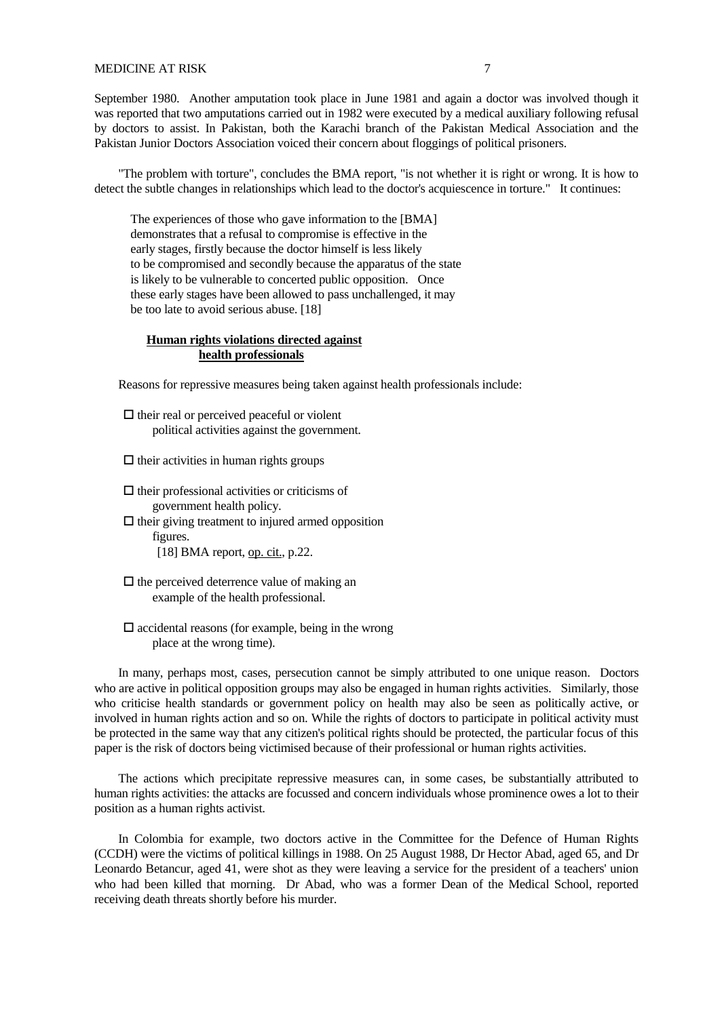### MEDICINE AT RISK 7

September 1980. Another amputation took place in June 1981 and again a doctor was involved though it was reported that two amputations carried out in 1982 were executed by a medical auxiliary following refusal by doctors to assist. In Pakistan, both the Karachi branch of the Pakistan Medical Association and the Pakistan Junior Doctors Association voiced their concern about floggings of political prisoners.

 "The problem with torture", concludes the BMA report, "is not whether it is right or wrong. It is how to detect the subtle changes in relationships which lead to the doctor's acquiescence in torture." It continues:

The experiences of those who gave information to the [BMA] demonstrates that a refusal to compromise is effective in the early stages, firstly because the doctor himself is less likely to be compromised and secondly because the apparatus of the state is likely to be vulnerable to concerted public opposition. Once these early stages have been allowed to pass unchallenged, it may be too late to avoid serious abuse. [18]

# **Human rights violations directed against health professionals**

Reasons for repressive measures being taken against health professionals include:

 $\Box$  their real or perceived peaceful or violent political activities against the government.

 $\Box$  their activities in human rights groups

 $\Box$  their professional activities or criticisms of government health policy.  $\Box$  their giving treatment to injured armed opposition figures. [18] BMA report, op. cit., p.22.

 $\Box$  the perceived deterrence value of making an example of the health professional.

 $\square$  accidental reasons (for example, being in the wrong place at the wrong time).

 In many, perhaps most, cases, persecution cannot be simply attributed to one unique reason. Doctors who are active in political opposition groups may also be engaged in human rights activities. Similarly, those who criticise health standards or government policy on health may also be seen as politically active, or involved in human rights action and so on. While the rights of doctors to participate in political activity must be protected in the same way that any citizen's political rights should be protected, the particular focus of this paper is the risk of doctors being victimised because of their professional or human rights activities.

 The actions which precipitate repressive measures can, in some cases, be substantially attributed to human rights activities: the attacks are focussed and concern individuals whose prominence owes a lot to their position as a human rights activist.

 In Colombia for example, two doctors active in the Committee for the Defence of Human Rights (CCDH) were the victims of political killings in 1988. On 25 August 1988, Dr Hector Abad, aged 65, and Dr Leonardo Betancur, aged 41, were shot as they were leaving a service for the president of a teachers' union who had been killed that morning. Dr Abad, who was a former Dean of the Medical School, reported receiving death threats shortly before his murder.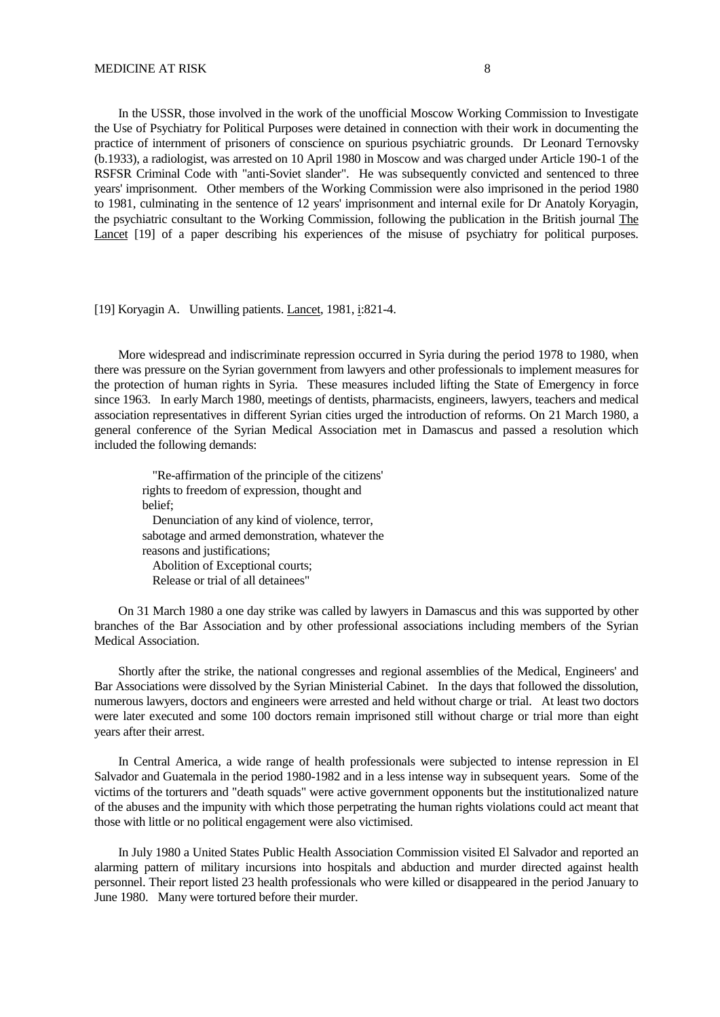In the USSR, those involved in the work of the unofficial Moscow Working Commission to Investigate the Use of Psychiatry for Political Purposes were detained in connection with their work in documenting the practice of internment of prisoners of conscience on spurious psychiatric grounds. Dr Leonard Ternovsky (b.1933), a radiologist, was arrested on 10 April 1980 in Moscow and was charged under Article 190-1 of the RSFSR Criminal Code with "anti-Soviet slander". He was subsequently convicted and sentenced to three years' imprisonment. Other members of the Working Commission were also imprisoned in the period 1980 to 1981, culminating in the sentence of 12 years' imprisonment and internal exile for Dr Anatoly Koryagin, the psychiatric consultant to the Working Commission, following the publication in the British journal The Lancet [19] of a paper describing his experiences of the misuse of psychiatry for political purposes.

#### [19] Koryagin A. Unwilling patients. Lancet, 1981, i:821-4.

 More widespread and indiscriminate repression occurred in Syria during the period 1978 to 1980, when there was pressure on the Syrian government from lawyers and other professionals to implement measures for the protection of human rights in Syria. These measures included lifting the State of Emergency in force since 1963. In early March 1980, meetings of dentists, pharmacists, engineers, lawyers, teachers and medical association representatives in different Syrian cities urged the introduction of reforms. On 21 March 1980, a general conference of the Syrian Medical Association met in Damascus and passed a resolution which included the following demands:

"Re-affirmation of the principle of the citizens' rights to freedom of expression, thought and belief; Denunciation of any kind of violence, terror, sabotage and armed demonstration, whatever the reasons and justifications; Abolition of Exceptional courts; Release or trial of all detainees"

 On 31 March 1980 a one day strike was called by lawyers in Damascus and this was supported by other branches of the Bar Association and by other professional associations including members of the Syrian Medical Association.

 Shortly after the strike, the national congresses and regional assemblies of the Medical, Engineers' and Bar Associations were dissolved by the Syrian Ministerial Cabinet. In the days that followed the dissolution, numerous lawyers, doctors and engineers were arrested and held without charge or trial. At least two doctors were later executed and some 100 doctors remain imprisoned still without charge or trial more than eight years after their arrest.

 In Central America, a wide range of health professionals were subjected to intense repression in El Salvador and Guatemala in the period 1980-1982 and in a less intense way in subsequent years. Some of the victims of the torturers and "death squads" were active government opponents but the institutionalized nature of the abuses and the impunity with which those perpetrating the human rights violations could act meant that those with little or no political engagement were also victimised.

 In July 1980 a United States Public Health Association Commission visited El Salvador and reported an alarming pattern of military incursions into hospitals and abduction and murder directed against health personnel. Their report listed 23 health professionals who were killed or disappeared in the period January to June 1980. Many were tortured before their murder.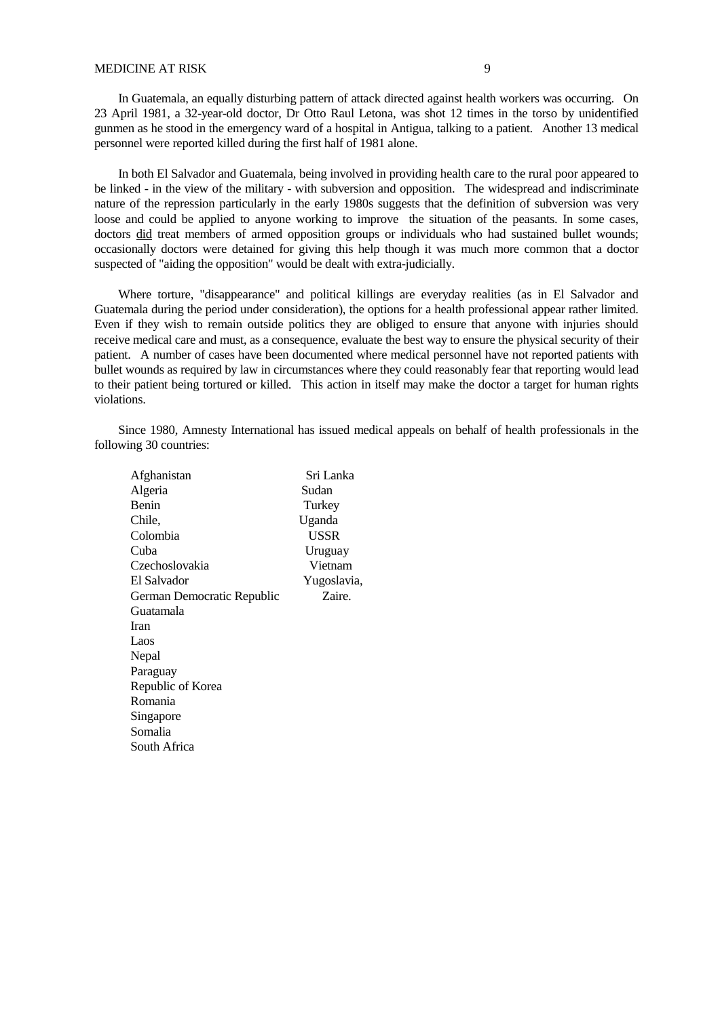### MEDICINE AT RISK 9

 In Guatemala, an equally disturbing pattern of attack directed against health workers was occurring. On 23 April 1981, a 32-year-old doctor, Dr Otto Raul Letona, was shot 12 times in the torso by unidentified gunmen as he stood in the emergency ward of a hospital in Antigua, talking to a patient. Another 13 medical personnel were reported killed during the first half of 1981 alone.

 In both El Salvador and Guatemala, being involved in providing health care to the rural poor appeared to be linked - in the view of the military - with subversion and opposition. The widespread and indiscriminate nature of the repression particularly in the early 1980s suggests that the definition of subversion was very loose and could be applied to anyone working to improve the situation of the peasants. In some cases, doctors did treat members of armed opposition groups or individuals who had sustained bullet wounds; occasionally doctors were detained for giving this help though it was much more common that a doctor suspected of "aiding the opposition" would be dealt with extra-judicially.

 Where torture, "disappearance" and political killings are everyday realities (as in El Salvador and Guatemala during the period under consideration), the options for a health professional appear rather limited. Even if they wish to remain outside politics they are obliged to ensure that anyone with injuries should receive medical care and must, as a consequence, evaluate the best way to ensure the physical security of their patient. A number of cases have been documented where medical personnel have not reported patients with bullet wounds as required by law in circumstances where they could reasonably fear that reporting would lead to their patient being tortured or killed. This action in itself may make the doctor a target for human rights violations.

 Since 1980, Amnesty International has issued medical appeals on behalf of health professionals in the following 30 countries:

| Afghanistan                | Sri Lanka   |
|----------------------------|-------------|
| Algeria                    | Sudan       |
| Benin                      | Turkey      |
| Chile,                     | Uganda      |
| Colombia                   | USSR        |
| Cuba                       | Uruguay     |
| Czechoslovakia             | Vietnam     |
| El Salvador                | Yugoslavia, |
| German Democratic Republic | Zaire.      |
| Guatamala                  |             |
| <b>Iran</b>                |             |
| Laos                       |             |
| Nepal                      |             |
| Paraguay                   |             |
| Republic of Korea          |             |
| Romania                    |             |
| Singapore                  |             |
| Somalia                    |             |
| South Africa               |             |
|                            |             |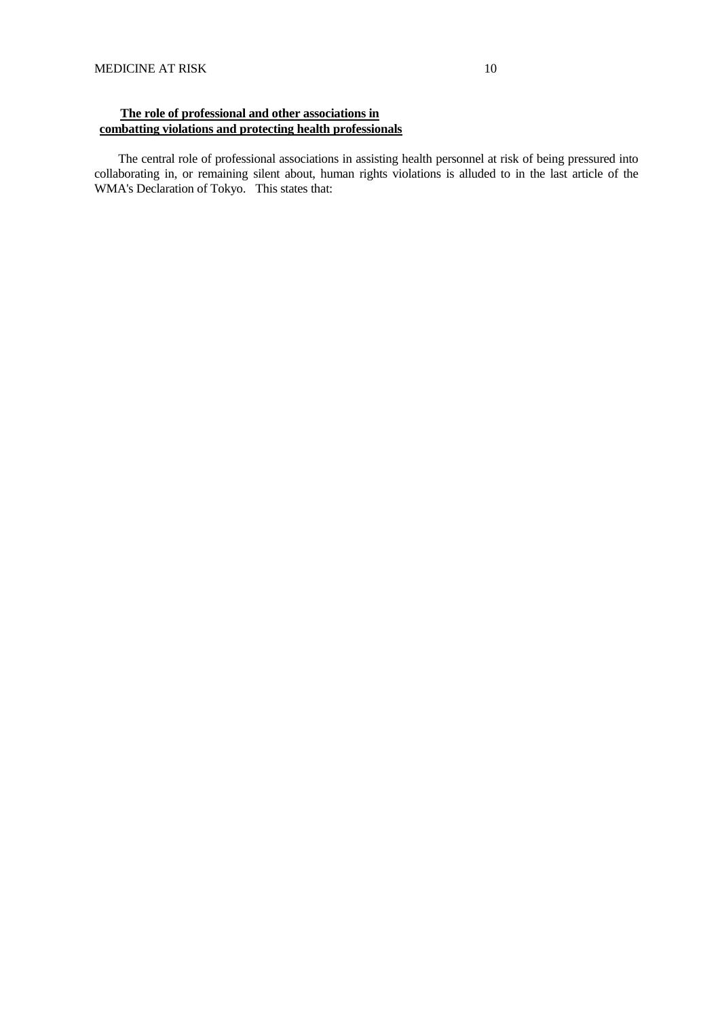# **The role of professional and other associations in combatting violations and protecting health professionals**

 The central role of professional associations in assisting health personnel at risk of being pressured into collaborating in, or remaining silent about, human rights violations is alluded to in the last article of the WMA's Declaration of Tokyo. This states that: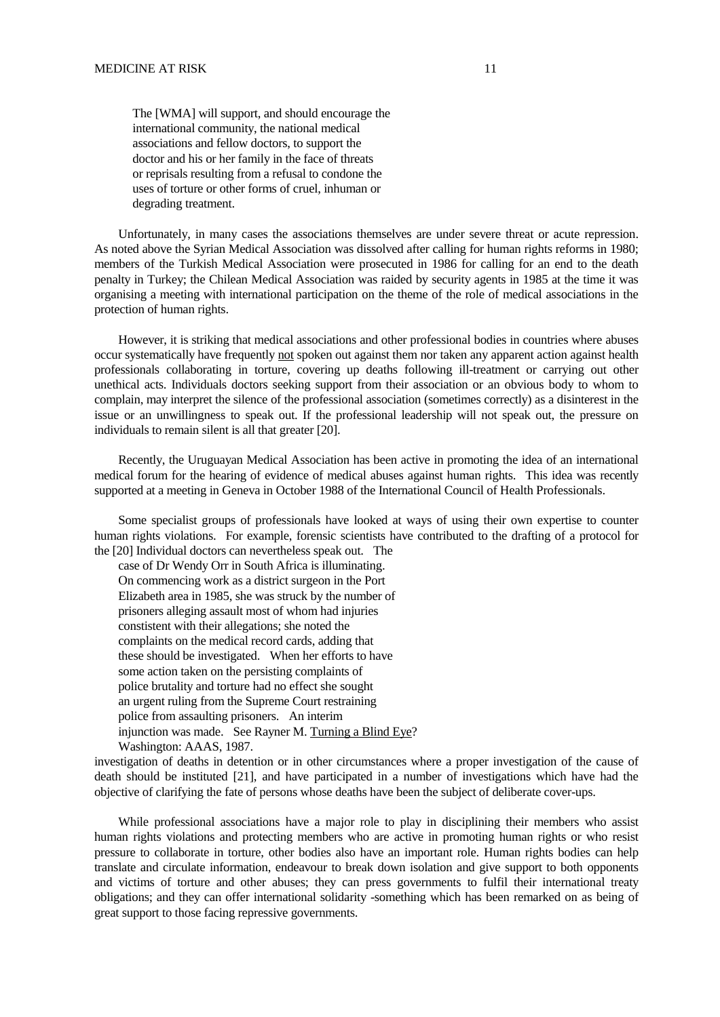The [WMA] will support, and should encourage the international community, the national medical associations and fellow doctors, to support the doctor and his or her family in the face of threats or reprisals resulting from a refusal to condone the uses of torture or other forms of cruel, inhuman or degrading treatment.

 Unfortunately, in many cases the associations themselves are under severe threat or acute repression. As noted above the Syrian Medical Association was dissolved after calling for human rights reforms in 1980; members of the Turkish Medical Association were prosecuted in 1986 for calling for an end to the death penalty in Turkey; the Chilean Medical Association was raided by security agents in 1985 at the time it was organising a meeting with international participation on the theme of the role of medical associations in the protection of human rights.

 However, it is striking that medical associations and other professional bodies in countries where abuses occur systematically have frequently not spoken out against them nor taken any apparent action against health professionals collaborating in torture, covering up deaths following ill-treatment or carrying out other unethical acts. Individuals doctors seeking support from their association or an obvious body to whom to complain, may interpret the silence of the professional association (sometimes correctly) as a disinterest in the issue or an unwillingness to speak out. If the professional leadership will not speak out, the pressure on individuals to remain silent is all that greater [20].

 Recently, the Uruguayan Medical Association has been active in promoting the idea of an international medical forum for the hearing of evidence of medical abuses against human rights. This idea was recently supported at a meeting in Geneva in October 1988 of the International Council of Health Professionals.

 Some specialist groups of professionals have looked at ways of using their own expertise to counter human rights violations. For example, forensic scientists have contributed to the drafting of a protocol for the [20] Individual doctors can nevertheless speak out. The

 case of Dr Wendy Orr in South Africa is illuminating. On commencing work as a district surgeon in the Port Elizabeth area in 1985, she was struck by the number of prisoners alleging assault most of whom had injuries constistent with their allegations; she noted the complaints on the medical record cards, adding that these should be investigated. When her efforts to have some action taken on the persisting complaints of police brutality and torture had no effect she sought an urgent ruling from the Supreme Court restraining police from assaulting prisoners. An interim injunction was made. See Rayner M. Turning a Blind Eye? Washington: AAAS, 1987.

investigation of deaths in detention or in other circumstances where a proper investigation of the cause of death should be instituted [21], and have participated in a number of investigations which have had the objective of clarifying the fate of persons whose deaths have been the subject of deliberate cover-ups.

 While professional associations have a major role to play in disciplining their members who assist human rights violations and protecting members who are active in promoting human rights or who resist pressure to collaborate in torture, other bodies also have an important role. Human rights bodies can help translate and circulate information, endeavour to break down isolation and give support to both opponents and victims of torture and other abuses; they can press governments to fulfil their international treaty obligations; and they can offer international solidarity -something which has been remarked on as being of great support to those facing repressive governments.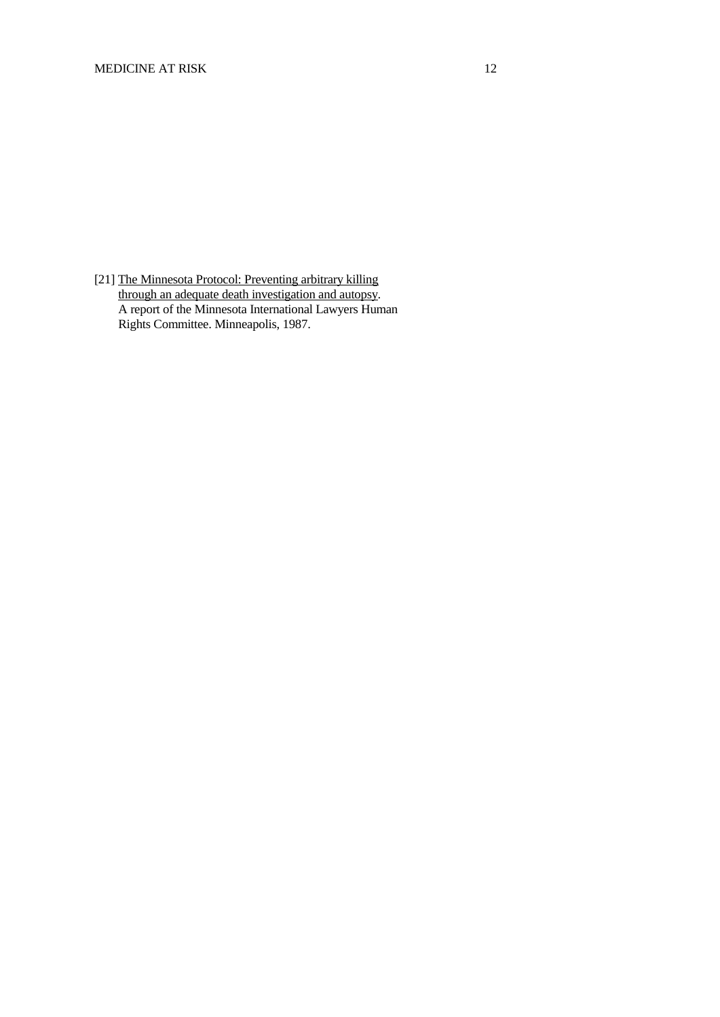[21] The Minnesota Protocol: Preventing arbitrary killing through an adequate death investigation and autopsy. A report of the Minnesota International Lawyers Human Rights Committee. Minneapolis, 1987.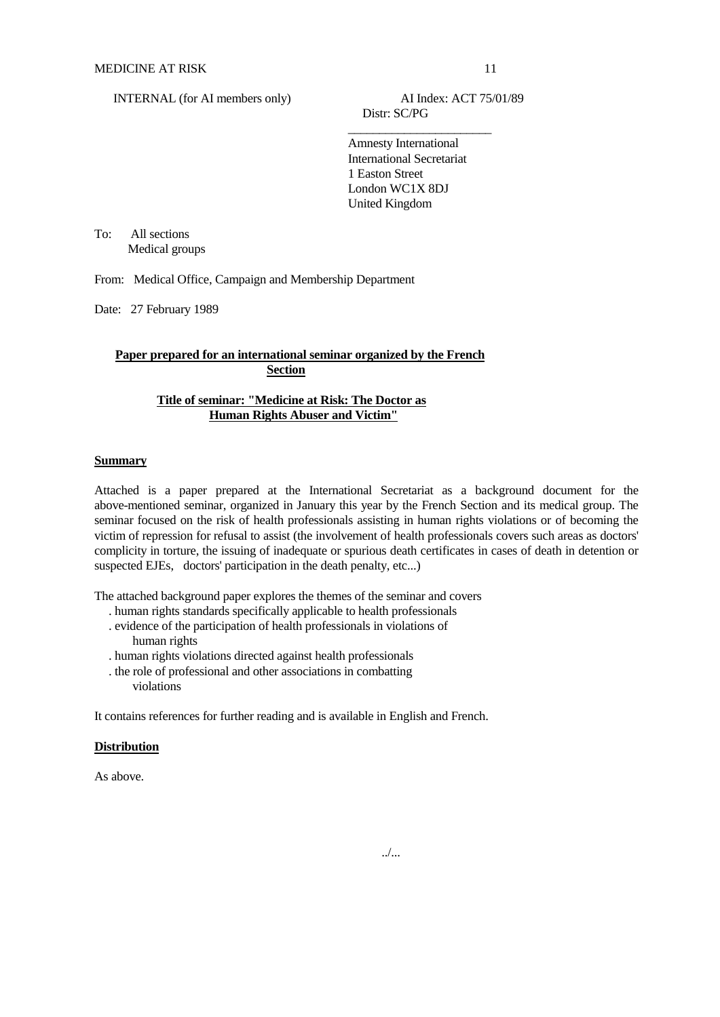Distr: SC/PG

 $\frac{1}{\sqrt{2}}$  , which is a set of  $\frac{1}{\sqrt{2}}$  , which is a set of  $\frac{1}{\sqrt{2}}$  , which is a set of  $\frac{1}{\sqrt{2}}$  Amnesty International International Secretariat 1 Easton Street London WC1X 8DJ United Kingdom

To: All sections Medical groups

From: Medical Office, Campaign and Membership Department

Date: 27 February 1989

# **Paper prepared for an international seminar organized by the French Section**

# **Title of seminar: "Medicine at Risk: The Doctor as Human Rights Abuser and Victim"**

#### **Summary**

Attached is a paper prepared at the International Secretariat as a background document for the above-mentioned seminar, organized in January this year by the French Section and its medical group. The seminar focused on the risk of health professionals assisting in human rights violations or of becoming the victim of repression for refusal to assist (the involvement of health professionals covers such areas as doctors' complicity in torture, the issuing of inadequate or spurious death certificates in cases of death in detention or suspected EJEs, doctors' participation in the death penalty, etc...)

The attached background paper explores the themes of the seminar and covers

- . human rights standards specifically applicable to health professionals . evidence of the participation of health professionals in violations of
- human rights . human rights violations directed against health professionals
- 
- . the role of professional and other associations in combatting violations

It contains references for further reading and is available in English and French.

# **Distribution**

As above.